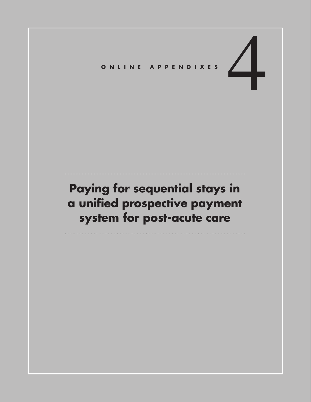# ONLINE APPENDIXES

# **Paying for sequential stays in a unified prospective payment system for post-acute care**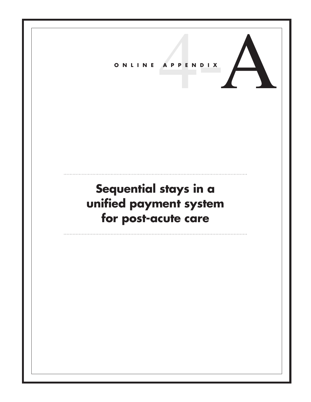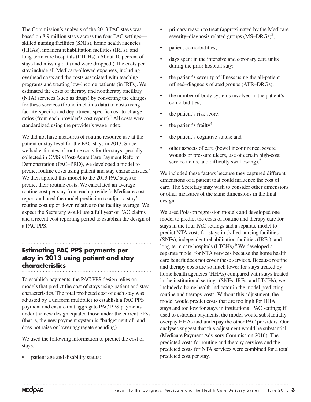The Commission's analysis of the 2013 PAC stays was based on 8.9 million stays across the four PAC settings skilled nursing facilities (SNFs), home health agencies (HHAs), inpatient rehabilitation facilities (IRFs), and long-term care hospitals (LTCHs). (About 10 percent of stays had missing data and were dropped.) The costs per stay include all Medicare-allowed expenses, including overhead costs and the costs associated with teaching programs and treating low-income patients (in IRFs). We estimated the costs of therapy and nontherapy ancillary (NTA) services (such as drugs) by converting the charges for these services (found in claims data) to costs using facility-specific and department-specific cost-to-charge ratios (from each provider's cost report).<sup>1</sup> All costs were standardized using the provider's wage index.

We did not have measures of routine resource use at the patient or stay level for the PAC stays in 2013. Since we had estimates of routine costs for the stays specially collected in CMS's Post-Acute Care Payment Reform Demonstration (PAC–PRD), we developed a model to predict routine costs using patient and stay characteristics.<sup>2</sup> We then applied this model to the 2013 PAC stays to predict their routine costs. We calculated an average routine cost per stay from each provider's Medicare cost report and used the model prediction to adjust a stay's routine cost up or down relative to the facility average. We expect the Secretary would use a full year of PAC claims and a recent cost reporting period to establish the design of a PAC PPS.

### **Estimating PAC PPS payments per stay in 2013 using patient and stay characteristics**

To establish payments, the PAC PPS design relies on models that predict the cost of stays using patient and stay characteristics. The total predicted cost of each stay was adjusted by a uniform multiplier to establish a PAC PPS payment and ensure that aggregate PAC PPS payments under the new design equaled those under the current PPSs (that is, the new payment system is "budget neutral" and does not raise or lower aggregate spending).

We used the following information to predict the cost of stays:

patient age and disability status;

- primary reason to treat (approximated by the Medicare severity–diagnosis related groups  $(MS–DRGs)^3$ ;
- patient comorbidities;
- days spent in the intensive and coronary care units during the prior hospital stay;
- the patient's severity of illness using the all-patient refined–diagnosis related groups (APR–DRGs);
- the number of body systems involved in the patient's comorbidities;
- the patient's risk score;
- the patient's frailty<sup>4</sup>;
- the patient's cognitive status; and
- other aspects of care (bowel incontinence, severe wounds or pressure ulcers, use of certain high-cost service items, and difficulty swallowing). $5$

We included these factors because they captured different dimensions of a patient that could influence the cost of care. The Secretary may wish to consider other dimensions or other measures of the same dimensions in the final design.

We used Poisson regression models and developed one model to predict the costs of routine and therapy care for stays in the four PAC settings and a separate model to predict NTA costs for stays in skilled nursing facilities (SNFs), independent rehabilitation facilities (IRFs), and long-term care hospitals (LTCHs).<sup>6</sup> We developed a separate model for NTA services because the home health care benefit does not cover these services. Because routine and therapy costs are so much lower for stays treated by home health agencies (HHAs) compared with stays treated in the institutional settings (SNFs, IRFs, and LTCHs), we included a home health indicator in the model predicting routine and therapy costs. Without this adjustment, the model would predict costs that are too high for HHA stays and too low for stays in institutional PAC settings; if used to establish payments, the model would substantially overpay HHAs and underpay the other PAC providers. Our analyses suggest that this adjustment would be substantial (Medicare Payment Advisory Commission 2016). The predicted costs for routine and therapy services and the predicted costs for NTA services were combined for a total predicted cost per stay.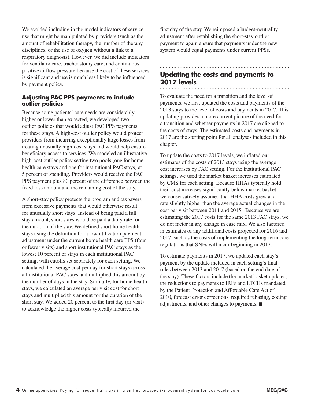We avoided including in the model indicators of service use that might be manipulated by providers (such as the amount of rehabilitation therapy, the number of therapy disciplines, or the use of oxygen without a link to a respiratory diagnosis). However, we did include indicators for ventilator care, tracheostomy care, and continuous positive airflow pressure because the cost of these services is significant and use is much less likely to be influenced by payment policy.

#### **Adjusting PAC PPS payments to include outlier policies**

Because some patients' care needs are considerably higher or lower than expected, we developed two outlier policies that would adjust PAC PPS payments for these stays. A high-cost outlier policy would protect providers from incurring exceptionally large losses from treating unusually high-cost stays and would help ensure beneficiary access to services. We modeled an illustrative high-cost outlier policy setting two pools (one for home health care stays and one for institutional PAC stays) at 5 percent of spending. Providers would receive the PAC PPS payment plus 80 percent of the difference between the fixed loss amount and the remaining cost of the stay.

A short-stay policy protects the program and taxpayers from excessive payments that would otherwise result for unusually short stays. Instead of being paid a full stay amount, short stays would be paid a daily rate for the duration of the stay. We defined short home health stays using the definition for a low-utilization payment adjustment under the current home health care PPS (four or fewer visits) and short institutional PAC stays as the lowest 10 percent of stays in each institutional PAC setting, with cutoffs set separately for each setting. We calculated the average cost per day for short stays across all institutional PAC stays and multiplied this amount by the number of days in the stay. Similarly, for home health stays, we calculated an average per visit cost for short stays and multiplied this amount for the duration of the short stay. We added 20 percent to the first day (or visit) to acknowledge the higher costs typically incurred the

first day of the stay. We reimposed a budget-neutrality adjustment after establishing the short-stay outlier payment to again ensure that payments under the new system would equal payments under current PPSs.

# **Updating the costs and payments to 2017 levels**

To evaluate the need for a transition and the level of payments, we first updated the costs and payments of the 2013 stays to the level of costs and payments in 2017. This updating provides a more current picture of the need for a transition and whether payments in 2017 are aligned to the costs of stays. The estimated costs and payments in 2017 are the starting point for all analyses included in this chapter.

To update the costs to 2017 levels, we inflated our estimates of the costs of 2013 stays using the average cost increases by PAC setting. For the institutional PAC settings, we used the market basket increases estimated by CMS for each setting. Because HHAs typically hold their cost increases significantly below market basket, we conservatively assumed that HHA costs grew at a rate slightly higher than the average actual changes in the cost per visit between 2011 and 2015. Because we are estimating the 2017 costs for the same 2013 PAC stays, we do not factor in any change in case mix. We also factored in estimates of any additional costs projected for 2016 and 2017, such as the costs of implementing the long-term care regulations that SNFs will incur beginning in 2017.

To estimate payments in 2017, we updated each stay's payment by the update included in each setting's final rules between 2013 and 2017 (based on the end date of the stay). These factors include the market basket updates, the reductions to payments to IRFs and LTCHs mandated by the Patient Protection and Affordable Care Act of 2010, forecast error corrections, required rebasing, coding adjustments, and other changes to payments. ■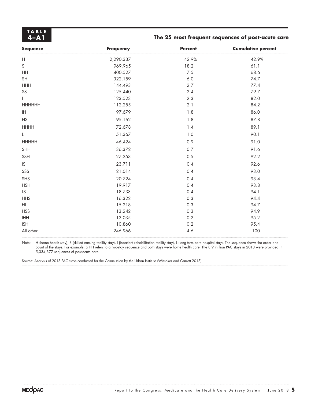**TABLE**

#### **4–A1 The 25 most frequent sequences of post-acute care**

| <b>Sequence</b>                        | <b>Frequency</b> | <b>Percent</b> | <b>Cumulative percent</b> |
|----------------------------------------|------------------|----------------|---------------------------|
| $\mathsf H$                            | 2,290,337        | 42.9%          | 42.9%                     |
| $\mathsf S$                            | 969,965          | 18.2           | 61.1                      |
| HH                                     | 400,527          | 7.5            | 68.6                      |
| SH                                     | 322,159          | $6.0$          | 74.7                      |
| <b>HHH</b>                             | 144,493          | 2.7            | 77.4                      |
| SS                                     | 125,440          | 2.4            | 79.7                      |
| L                                      | 123,523          | 2.3            | 82.0                      |
| <b>HHHHHH</b>                          | 112,255          | 2.1            | 84.2                      |
| $\ensuremath{\mathsf{IH}}$             | 97,679           | 1.8            | 86.0                      |
| <b>HS</b>                              | 95,162           | 1.8            | 87.8                      |
| <b>HHHH</b>                            | 72,678           | 1.4            | 89.1                      |
| L                                      | 51,367           | 1.0            | 90.1                      |
| <b>HHHHH</b>                           | 46,424           | 0.9            | 91.0                      |
| SHH                                    | 36,372           | $0.7\,$        | 91.6                      |
| SSH                                    | 27,253           | 0.5            | 92.2                      |
| $\mathsf{IS}\xspace$                   | 23,711           | 0.4            | 92.6                      |
| SSS                                    | 21,014           | 0.4            | 93.0                      |
| SHS                                    | 20,724           | 0.4            | 93.4                      |
| <b>HSH</b>                             | 19,917           | 0.4            | 93.8                      |
| LS                                     | 18,733           | 0.4            | 94.1                      |
| <b>HHS</b>                             | 16,322           | 0.3            | 94.4                      |
| H                                      | 15,218           | 0.3            | 94.7                      |
| <b>HSS</b>                             | 13,242           | 0.3            | 94.9                      |
| $\mathsf{IHH}\hspace{0.04cm}\mathsf{}$ | 12,035           | $0.2\,$        | 95.2                      |
| <b>ISH</b>                             | 10,860           | 0.2            | 95.4                      |
| All other                              | 246,966          | 4.6            | 100                       |

Note: H (home health stay), S (skilled nursing facility stay), I (inpatient rehabilitation facility stay), L (long-term care hospital stay). The sequence shows the order and count of the stays. For example, a HH refers to a two-stay sequence and both stays were home health care. The 8.9 million PAC stays in 2013 were provided in 5,334,377 sequences of post-acute care.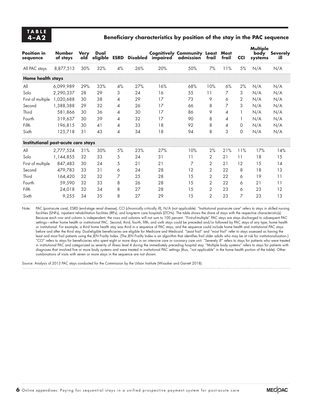#### **4–A2 Beneficiary characteristics by position of the stay in the PAC sequence**

| <b>Position in</b><br>sequence      | <b>Number</b><br>of stays | <b>Very</b><br>old | Dual |    |     | eligible ESRD Disabled impaired | <b>Cognitively Community Least</b><br>admission | frail          | <b>Most</b><br>frail | <b>CCI</b> | <b>Multiple</b><br>body<br>systems | <b>Severely</b><br>ill |
|-------------------------------------|---------------------------|--------------------|------|----|-----|---------------------------------|-------------------------------------------------|----------------|----------------------|------------|------------------------------------|------------------------|
| All PAC stays                       | 8,877,513                 | 30%                | 32%  | 4% | 26% | 20%                             | 50%                                             | 7%             | 11%                  | 5%         | N/A                                | N/A                    |
| <b>Home health stays</b>            |                           |                    |      |    |     |                                 |                                                 |                |                      |            |                                    |                        |
| All                                 | 6,099,989                 | 29%                | 33%  | 4% | 27% | 16%                             | 68%                                             | 10%            | 6%                   | 2%         | N/A                                | N/A                    |
| Solo                                | 2,290,337                 | 28                 | 29   | 3  | 24  | 16                              | 55                                              | 11             | 7                    | 3          | N/A                                | N/A                    |
| First of multiple                   | 1,020,688                 | 30                 | 38   | 4  | 29  | 17                              | 73                                              | 9              | 6                    | 2          | N/A                                | N/A                    |
| Second                              | 1,388,388                 | 29                 | 32   | 4  | 26  | 17                              | 66                                              | 8              | 7                    | 3          | N/A                                | N/A                    |
| Third                               | 581,866                   | 30                 | 36   | 4  | 30  | 17                              | 86                                              | 9              | 4                    |            | N/A                                | N/A                    |
| Fourth                              | 319,637                   | 30                 | 39   | 4  | 32  | 17                              | 90                                              | 8              | 4                    |            | N/A                                | N/A                    |
| Fifth                               | 196,815                   | 30                 | 41   | 4  | 33  | 18                              | 92                                              | 8              | 4                    | $\Omega$   | N/A                                | N/A                    |
| Sixth                               | 125,718                   | 31                 | 43   | 4  | 34  | 18                              | 94                                              | 8              | 3                    | 0          | N/A                                | N/A                    |
| Institutional post-acute care stays |                           |                    |      |    |     |                                 |                                                 |                |                      |            |                                    |                        |
| All                                 | 2,777,524                 | 31%                | 30%  | 5% | 23% | 27%                             | 10%                                             | 2%             | 21%                  | 11%        | 17%                                | 14%                    |
| Solo                                | 1,144,855                 | 32                 | 33   | 5  | 24  | 31                              | 11                                              | 2              | 21                   | 11         | 18                                 | 15                     |
| First of multiple                   | 847,483                   | 30                 | 24   | 5  | 21  | 21                              | 7                                               | 2              | 21                   | 12         | 15                                 | 14                     |
| Second                              | 479,783                   | 33                 | 31   | 6  | 24  | 28                              | 12                                              | 2              | 22                   | 8          | 18                                 | 13                     |
| Third                               | 164,420                   | 32                 | 32   | 7  | 25  | 28                              | 15                                              | $\overline{2}$ | 22                   | 6          | 19                                 | 11                     |
| Fourth                              | 59,590                    | 32                 | 33   | 8  | 26  | 28                              | 15                                              | $\overline{2}$ | 22                   | 6          | 21                                 | 11                     |
| Fifth                               | 24,018                    | 32                 | 34   | 8  | 27  | 28                              | 15                                              | $\overline{2}$ | 23                   | 6          | 23                                 | 12                     |
| Sixth                               | 9,255                     | 34                 | 35   | 8  | 27  | 29                              | 15                                              | $\overline{2}$ | 23                   | 7          | 23                                 | 13                     |

Note: PAC (post-acute care), ESRD (end-stage renal disease), CCI (chronically critically ill), N/A (not applicable). "Institutional post-acute care" refers to stays in skilled nursing facilities (SNFs), inpatient rehabilitation facilities (IRFs), and long-term care hospitals (LTCHs). The table shows the share of stays with the respective characteristic(s). Because each row and column is independent, the rows and columns will not sum to 100 percent. "First-of-multiple" PAC stays are stays discharged to subsequent PAC settings—either home health or institutional PAC. Second, third, fourth, fifth, and sixth stays could be preceded and/or followed by PAC stays of any type, home health or institutional. For example, a third home health stay was third in a sequence of PAC stays, and the sequence could include home health and institutional PAC stays before and after the third stay. Dual-eligible beneficiaries are eligible for Medicare and Medicaid. "Least frail" and "most frail" refer to stays assessed as having the least and most frail patients using the JEN Frailty Index. (The JEN Frailty Index is an algorithm that identifies frail older adults who may be at risk for institutionalization.) "CCI" refers to stays for beneficiaries who spent eight or more days in an intensive care or coronary care unit. "Severely ill" refers to stays for patients who were treated in institutional PAC and categorized as severity of illness level 4 during the immediately preceding hospital stay. "Multiple body systems" refers to stays for patients with diagnoses that involved five or more body systems and were treated in institutional PAC settings (thus, "not applicable" in the home health portion of the table). Other combinations of visits with seven or more stays in the sequence are not shown.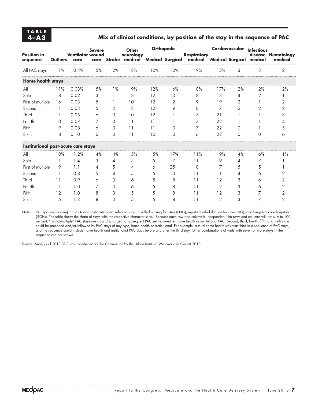#### **4–A3 Mix of clinical conditions, by position of the stay in the sequence of PAC**

|                                     |                 | <b>Ventilator wound</b><br>care | <b>Severe</b> |                | Other<br>neurology<br>care Stroke medical | <b>Orthopedic</b> |          |                                                                         | Cardiovascular Infectious |                |          |                               |
|-------------------------------------|-----------------|---------------------------------|---------------|----------------|-------------------------------------------|-------------------|----------|-------------------------------------------------------------------------|---------------------------|----------------|----------|-------------------------------|
| <b>Position in</b><br>sequence      | <b>Outliers</b> |                                 |               |                |                                           |                   |          | <b>Respiratory</b><br>Medical Surgical medical Medical Surgical medical |                           |                |          | disease Hematology<br>medical |
| All PAC stays                       | 11%             | 0.4%                            | 5%            | 2%             | 8%                                        | 10%               | 10%      | 9%                                                                      | 15%                       | 3              | 3        | 2                             |
| <b>Home health stays</b>            |                 |                                 |               |                |                                           |                   |          |                                                                         |                           |                |          |                               |
| All                                 | 11%             | 0.03%                           | 5%            | $1\%$          | 9%                                        | 12%               | 6%       | 8%                                                                      | 17%                       | 2%             | 2%       | 2%                            |
| Solo                                | 8               | 0.02                            | 3             |                | 8                                         | 12                | 10       | 8                                                                       | 13                        | 4              | 2        |                               |
| First of multiple                   | 16              | 0.03                            | 5             |                | 10                                        | 12                | 2        | 9                                                                       | 19                        | $\overline{2}$ |          | 2                             |
| Second                              | 11              | 0.03                            | 5             | 2              | 8                                         | 12                | 9        | 8                                                                       | 17                        | $\overline{2}$ | 2        | 2                             |
| Third                               | 11              | 0.05                            | 6             | $\Omega$       | 10                                        | 12                |          | 7                                                                       | 21                        |                |          | 3                             |
| Fourth                              | 10              | 0.07                            | 7             | $\Omega$       | 11                                        | 11                |          | 7                                                                       | 22                        |                | 11       |                               |
| Fifth                               | 9               | 0.08                            | 6             | $\Omega$       | 11                                        | 11                | $\Omega$ | 7                                                                       | 22                        | $\Omega$       |          | 5                             |
| Sixth                               | 8               | 0.10                            | 6             | $\Omega$       | 11                                        | 10                | $\Omega$ | 6                                                                       | 22                        | $\Omega$       | $\Omega$ | 6                             |
| Institutional post-acute care stays |                 |                                 |               |                |                                           |                   |          |                                                                         |                           |                |          |                               |
| All                                 | 10%             | 1.2%                            | 4%            | 4%             | 5%                                        | 5%                | 17%      | 11%                                                                     | 9%                        | 4%             | 6%       | 1%                            |
| Solo                                | 11              | 1.4                             | 3             | $\overline{4}$ | 5                                         | 5                 | 17       | 11                                                                      | 9                         | 4              | 7        |                               |
| First of multiple                   | 9               | 1.1                             | 4             | 5              | 4                                         | 6                 | 25       | 8                                                                       | 7                         | 5              | 5        |                               |
| Second                              | 11              | 0.8                             | 5             | 4              | 5                                         | 5                 | 10       | 11                                                                      | 11                        | 4              | 6        | 2                             |
| Third                               | 11              | 0.9                             | 6             | 3              | 6                                         | 5                 | 8        | 11                                                                      | 12                        | 3              | 6        | 2                             |
| Fourth                              | 11              | 1.0                             | 7             | 3              | 6                                         | 5                 | 8        | 11                                                                      | 12                        | 3              | 6        | 2                             |
| Fifth                               | 12              | 1.0                             | 8             | 3              | 5                                         | 5                 | 8        | 11                                                                      | 12                        | 3              | 7        | 2                             |
| Sixth                               | 15              | 1.3                             | 8             | 3              | 5                                         | 5                 | 8        | 11                                                                      | 12                        | 3              | 7        | $\overline{2}$                |

Note: PAC (post-acute care). "Institutional post-acute care" refers to stays in skilled nursing facilities (SNFs), inpatient rehabilitation facilities (IRFs), and long-term care hospitals (LTCHs). The table shows the share of stays with the respective characteristic(s). Because each row and column is independent, the rows and columns will not sum to 100 percent. "First-of-multiple" PAC stays are stays discharged to subsequent PAC settings—either home health or institutional PAC. Second, third, fourth, fifth, and sixth stays could be preceded and/or followed by PAC stays of any type, home health or institutional. For example, a third home health stay was third in a sequence of PAC stays, and the sequence could include home health and institutional PAC stays before and after the third stay. Other combinations of visits with seven or more stays in the sequence are not shown.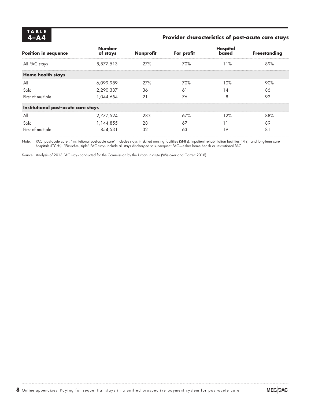# **TABLE**

#### Provider characteristics of post-acute care stays

| <b>Position in sequence</b>         | <b>Number</b><br>of stays | <b>Nonprofit</b> | For profit | Hospital<br><b>based</b> | <b>Freestanding</b> |
|-------------------------------------|---------------------------|------------------|------------|--------------------------|---------------------|
| All PAC stays                       | 8,877,513                 | 27%              | 70%        | 11%                      | 89%                 |
| Home health stays                   |                           |                  |            |                          |                     |
| All                                 | 6,099,989                 | 27%              | 70%        | 10%                      | 90%                 |
| Solo                                | 2,290,337                 | 36               | 61         | 1                        | 86                  |
| First of multiple                   | 1,044,654                 | 21               | 76         | 8                        | 92                  |
| Institutional post-acute care stays |                           |                  |            |                          |                     |
| All                                 | 2,777,524                 | 28%              | 67%        | 12%                      | 88%                 |
| Solo                                | 1,144,855                 | 28               | 67         |                          | 89                  |
| First of multiple                   | 854,531                   | 32               | 63         | 19                       | 81                  |

Note: PAC (post-acute care). "Institutional post-acute care" includes stays in skilled nursing facilities (SNFs), inpatient rehabilitation facilities (IRFs), and long-term care hospitals (LTCHs). "First-of-multiple" PAC stays include all stays discharged to subsequent PAC—either home health or institutional PAC.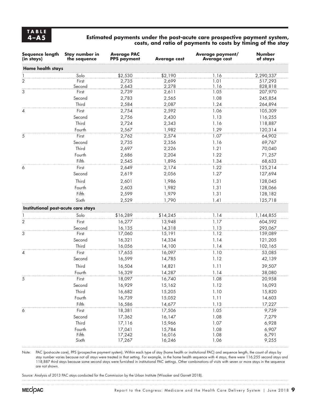#### **4–A5 Estimated payments under the post-acute care prospective payment system, costs, and ratio of payments to costs by timing of the stay**

| Sequence length<br>(in stays)       | Stay number in<br>the sequence | <b>Average PAC</b><br><b>PPS payment</b> | <b>Average cost</b> | Average payment/<br><b>Average cost</b> | <b>Number</b><br>of stays |
|-------------------------------------|--------------------------------|------------------------------------------|---------------------|-----------------------------------------|---------------------------|
| <b>Home health stays</b>            |                                |                                          |                     |                                         |                           |
| $\frac{1}{2}$                       | Solo                           | \$2,530                                  | \$2,190             | 1.16                                    | 2,290,337                 |
|                                     | First                          | 2,735                                    | 2,699               | 1.01                                    | 517,293                   |
|                                     | Second                         | 2,643                                    | 2,278               | 1.16                                    | 828,818                   |
| 3                                   | First                          | 2,739                                    | 2,611               | 1.05                                    | 207,970                   |
|                                     | Second                         | 2,783                                    | 2,565               | 1.08                                    | 245,854                   |
|                                     | Third                          | 2,584                                    | 2,087               | 1.24                                    | 264,894                   |
| 4                                   | First                          | 2,754                                    | 2,592               | 1.06                                    | 105,309                   |
|                                     | Second                         | 2,756                                    | 2,430               | 1.13                                    | 116,255                   |
|                                     | Third                          | 2,724                                    | 2,343               | 1.16                                    | 118,887                   |
|                                     | Fourth                         | 2,567                                    | 1,982               | 1.29                                    | 120,314                   |
| 5                                   | First                          | 2,762                                    | 2,574               | 1.07                                    | 64,902                    |
|                                     | Second                         | 2,735                                    | 2,356               | 1.16                                    | 69,767                    |
|                                     | Third                          | 2,697                                    | 2,226               | 1.21                                    | 70,040                    |
|                                     | Fourth<br>Fifth                | 2,686                                    | 2,204               | 1.22                                    | 71,257                    |
|                                     |                                | 2,545                                    | 1,896               | 1.34                                    | 68,633                    |
| 6                                   | First                          | 2,649                                    | 2,174               | 1.22                                    | 125,214                   |
|                                     | Second                         | 2,619                                    | 2,056               | 1.27                                    | 127,694                   |
|                                     | Third                          | 2,601                                    | 1,986               | 1.31                                    | 128,045                   |
|                                     | Fourth                         | 2,603                                    | 1,982               | 1.31                                    | 128,066                   |
|                                     | Fifth                          | 2,599                                    | 1,979               | 1.31                                    | 128,182                   |
|                                     | Sixth                          | 2,529                                    | 1,790               | 1.41                                    | 125,718                   |
| Institutional post-acute care stays |                                |                                          |                     |                                         |                           |
| 1                                   | Solo                           | \$16,289                                 | \$14,245            | 1.14                                    | 1,144,855                 |
| $\overline{2}$                      | First                          | 16,277                                   | 13,948              | 1.17                                    | 604,592                   |
|                                     | Second                         | 16,135                                   | 14,318              | 1.13                                    | 293,067                   |
| 3                                   | First                          | 17,060                                   | 15,191              | 1.12                                    | 159,089                   |
|                                     | Second                         | 16,321                                   | 14,334              | 1.14                                    | 121,205                   |
|                                     | Third                          | 16,056                                   | 14,100              | 1.14                                    | 102,165                   |
| $\overline{4}$                      | First                          | 17,655                                   | 16,097              | 1.10                                    | 53,085                    |
|                                     | Second                         | 16,599                                   | 14,785              | 1.12                                    | 42,139                    |
|                                     | Third                          | 16,504                                   | 14,821              | 1.11                                    | 39,507                    |
|                                     | Fourth                         | 16,329                                   | 14,287              | 1.14                                    | 38,080                    |
| 5                                   | First                          | 18,097                                   | 16,740              | 1.08                                    | 20,958                    |
|                                     | Second                         | 16,929                                   | 15,162              | 1.12                                    | 16,093                    |
|                                     | Third                          | 16,682                                   | 15,205              | 1.10                                    | 15,820                    |
|                                     | Fourth                         | 16,739                                   | 15,052              | 1.11                                    | 14,603                    |
|                                     | Fifth                          | 16,586                                   | 14,677              | 1.13                                    | 17,227                    |
| 6                                   | First                          | 18,381                                   | 17,506              | 1.05                                    | 9,759                     |
|                                     | Second                         | 17,362                                   | 16,147              | 1.08                                    | 7,279                     |
|                                     | Third                          | 17,116                                   | 15,966              | 1.07                                    | 6,928                     |
|                                     | Fourth                         | 17,041                                   | 15,784              | 1.08                                    | 6,907                     |
|                                     | Fifth<br>Sixth                 | 17,242<br>17,267                         | 16,016              | 1.08                                    | 6,791<br>9,255            |
|                                     |                                |                                          | 16,246              | 1.06                                    |                           |

Note: PAC (post-acute care), PPS (prospective payment system). Within each type of stay (home health or institutional PAC) and sequence length, the count of stays by stay number varies because not all stays were treated in that setting. For example, in the home health sequence with 4 stays, there were 116,255 second stays and 118,887 third stays because some second stays were furnished in institutional PAC settings. Other combinations of visits with seven or more stays in the sequence are not shown.

Source: Analysis of 2013 PAC stays conducted for the Commission by the Urban Institute (Wissoker and Garrett 2018).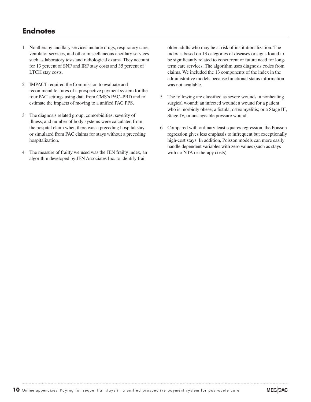## **Endnotes**

- 1 Nontherapy ancillary services include drugs, respiratory care, ventilator services, and other miscellaneous ancillary services such as laboratory tests and radiological exams. They account for 13 percent of SNF and IRF stay costs and 35 percent of LTCH stay costs.
- 2 IMPACT required the Commission to evaluate and recommend features of a prospective payment system for the four PAC settings using data from CMS's PAC–PRD and to estimate the impacts of moving to a unified PAC PPS.
- 3 The diagnosis related group, comorbidities, severity of illness, and number of body systems were calculated from the hospital claim when there was a preceding hospital stay or simulated from PAC claims for stays without a preceding hospitalization.
- 4 The measure of frailty we used was the JEN frailty index, an algorithm developed by JEN Associates Inc. to identify frail

older adults who may be at risk of institutionalization. The index is based on 13 categories of diseases or signs found to be significantly related to concurrent or future need for longterm care services. The algorithm uses diagnosis codes from claims. We included the 13 components of the index in the administrative models because functional status information was not available.

- 5 The following are classified as severe wounds: a nonhealing surgical wound; an infected wound; a wound for a patient who is morbidly obese; a fistula; osteomyelitis; or a Stage III, Stage IV, or unstageable pressure wound.
- 6 Compared with ordinary least squares regression, the Poisson regression gives less emphasis to infrequent but exceptionally high-cost stays. In addition, Poisson models can more easily handle dependent variables with zero values (such as stays with no NTA or therapy costs).